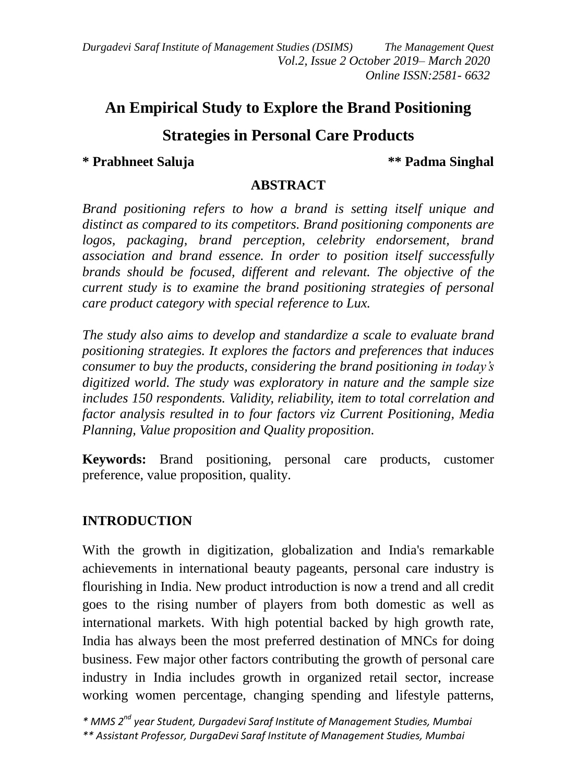*Durgadevi Saraf Institute of Management Studies (DSIMS) The Management Quest Vol.2, Issue 2 October 2019– March 2020 Online ISSN:2581- 6632*

# **An Empirical Study to Explore the Brand Positioning**

## **Strategies in Personal Care Products**

#### **\* Prabhneet Saluja \*\* Padma Singhal**

#### **ABSTRACT**

*Brand positioning refers to how a brand is setting itself unique and distinct as compared to its competitors. Brand positioning components are logos, packaging, brand perception, celebrity endorsement, brand association and brand essence. In order to position itself successfully brands should be focused, different and relevant. The objective of the current study is to examine the brand positioning strategies of personal care product category with special reference to Lux.*

*The study also aims to develop and standardize a scale to evaluate brand positioning strategies. It explores the factors and preferences that induces consumer to buy the products, considering the brand positioning in today's digitized world. The study was exploratory in nature and the sample size includes 150 respondents. Validity, reliability, item to total correlation and factor analysis resulted in to four factors viz Current Positioning, Media Planning, Value proposition and Quality proposition.*

**Keywords:** Brand positioning, personal care products, customer preference, value proposition, quality.

### **INTRODUCTION**

With the growth in digitization, globalization and India's remarkable achievements in international beauty pageants, personal care industry is flourishing in India. New product introduction is now a trend and all credit goes to the rising number of players from both domestic as well as international markets. With high potential backed by high growth rate, India has always been the most preferred destination of MNCs for doing business. Few major other factors contributing the growth of personal care industry in India includes growth in organized retail sector, increase working women percentage, changing spending and lifestyle patterns,

*\* MMS 2 nd year Student, Durgadevi Saraf Institute of Management Studies, Mumbai \*\* Assistant Professor, DurgaDevi Saraf Institute of Management Studies, Mumbai*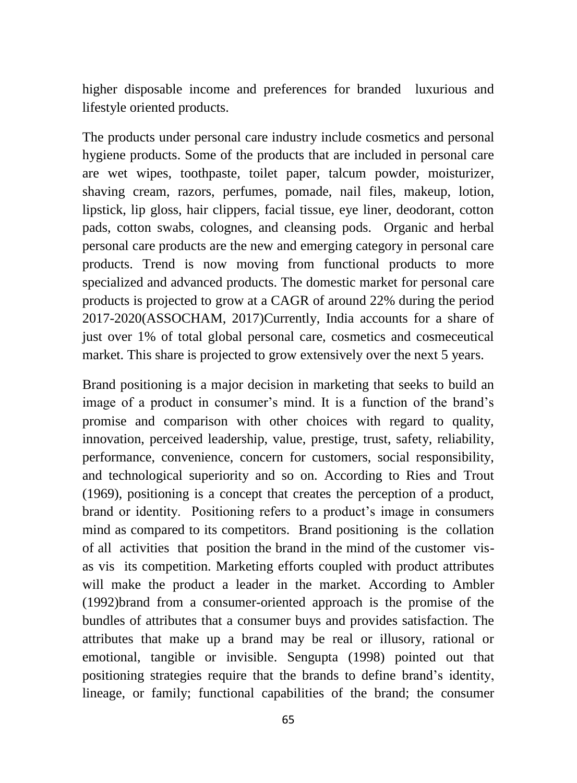higher disposable income and preferences for branded luxurious and lifestyle oriented products.

The products under personal care industry include cosmetics and personal hygiene products. Some of the products that are included in personal care are wet wipes, toothpaste, toilet paper, talcum powder, moisturizer, shaving cream, razors, perfumes, pomade, nail files, makeup, lotion, lipstick, lip gloss, hair clippers, facial tissue, eye liner, deodorant, cotton pads, cotton swabs, colognes, and cleansing pods. Organic and herbal personal care products are the new and emerging category in personal care products. Trend is now moving from functional products to more specialized and advanced products. The domestic market for personal care products is projected to grow at a CAGR of around 22% during the period 2017-2020(ASSOCHAM, 2017)Currently, India accounts for a share of just over 1% of total global personal care, cosmetics and cosmeceutical market. This share is projected to grow extensively over the next 5 years.

Brand positioning is a major decision in marketing that seeks to build an image of a product in consumer's mind. It is a function of the brand's promise and comparison with other choices with regard to quality, innovation, perceived leadership, value, prestige, trust, safety, reliability, performance, convenience, concern for customers, social responsibility, and technological superiority and so on. According to Ries and Trout (1969), positioning is a concept that creates the perception of a product, brand or identity. Positioning refers to a product's image in consumers mind as compared to its competitors. Brand positioning is the collation of all activities that position the brand in the mind of the customer visas vis its competition. Marketing efforts coupled with product attributes will make the product a leader in the market. According to Ambler (1992)brand from a consumer-oriented approach is the promise of the bundles of attributes that a consumer buys and provides satisfaction. The attributes that make up a brand may be real or illusory, rational or emotional, tangible or invisible. Sengupta (1998) pointed out that positioning strategies require that the brands to define brand's identity, lineage, or family; functional capabilities of the brand; the consumer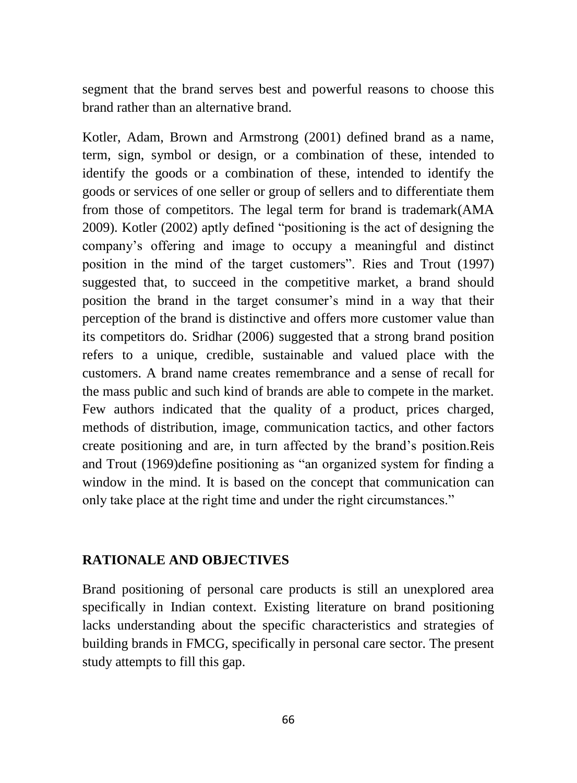segment that the brand serves best and powerful reasons to choose this brand rather than an alternative brand.

Kotler, Adam, Brown and Armstrong (2001) defined brand as a name, term, sign, symbol or design, or a combination of these, intended to identify the goods or a combination of these, intended to identify the goods or services of one seller or group of sellers and to differentiate them from those of competitors. The legal term for brand is trademark(AMA 2009). Kotler (2002) aptly defined "positioning is the act of designing the company's offering and image to occupy a meaningful and distinct position in the mind of the target customers". Ries and Trout (1997) suggested that, to succeed in the competitive market, a brand should position the brand in the target consumer's mind in a way that their perception of the brand is distinctive and offers more customer value than its competitors do. Sridhar (2006) suggested that a strong brand position refers to a unique, credible, sustainable and valued place with the customers. A brand name creates remembrance and a sense of recall for the mass public and such kind of brands are able to compete in the market. Few authors indicated that the quality of a product, prices charged, methods of distribution, image, communication tactics, and other factors create positioning and are, in turn affected by the brand's position.Reis and Trout (1969)define positioning as "an organized system for finding a window in the mind. It is based on the concept that communication can only take place at the right time and under the right circumstances."

#### **RATIONALE AND OBJECTIVES**

Brand positioning of personal care products is still an unexplored area specifically in Indian context. Existing literature on brand positioning lacks understanding about the specific characteristics and strategies of building brands in FMCG, specifically in personal care sector. The present study attempts to fill this gap.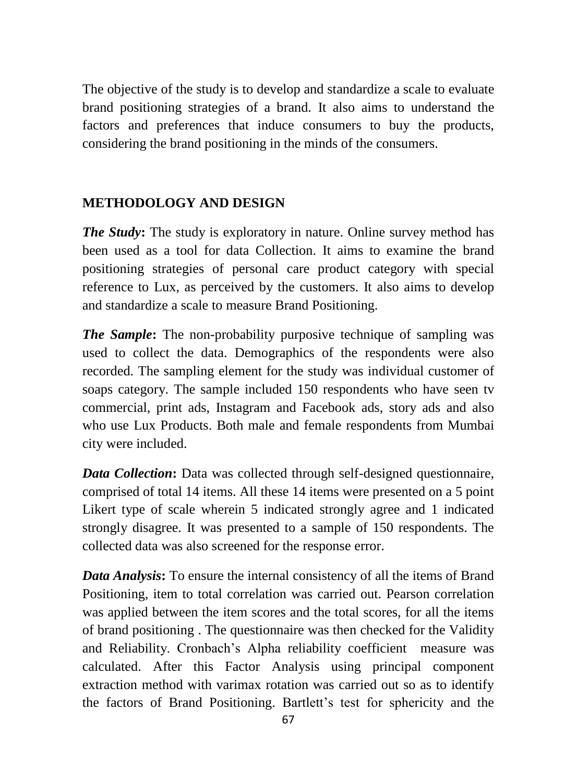The objective of the study is to develop and standardize a scale to evaluate brand positioning strategies of a brand. It also aims to understand the factors and preferences that induce consumers to buy the products, considering the brand positioning in the minds of the consumers.

## **METHODOLOGY AND DESIGN**

*The Study*: The study is exploratory in nature. Online survey method has been used as a tool for data Collection. It aims to examine the brand positioning strategies of personal care product category with special reference to Lux, as perceived by the customers. It also aims to develop and standardize a scale to measure Brand Positioning.

*The Sample***:** The non-probability purposive technique of sampling was used to collect the data. Demographics of the respondents were also recorded. The sampling element for the study was individual customer of soaps category. The sample included 150 respondents who have seen tv commercial, print ads, Instagram and Facebook ads, story ads and also who use Lux Products. Both male and female respondents from Mumbai city were included.

*Data Collection*: Data was collected through self-designed questionnaire, comprised of total 14 items. All these 14 items were presented on a 5 point Likert type of scale wherein 5 indicated strongly agree and 1 indicated strongly disagree. It was presented to a sample of 150 respondents. The collected data was also screened for the response error.

*Data Analysis***:** To ensure the internal consistency of all the items of Brand Positioning, item to total correlation was carried out. Pearson correlation was applied between the item scores and the total scores, for all the items of brand positioning . The questionnaire was then checked for the Validity and Reliability. Cronbach's Alpha reliability coefficient measure was calculated. After this Factor Analysis using principal component extraction method with varimax rotation was carried out so as to identify the factors of Brand Positioning. Bartlett's test for sphericity and the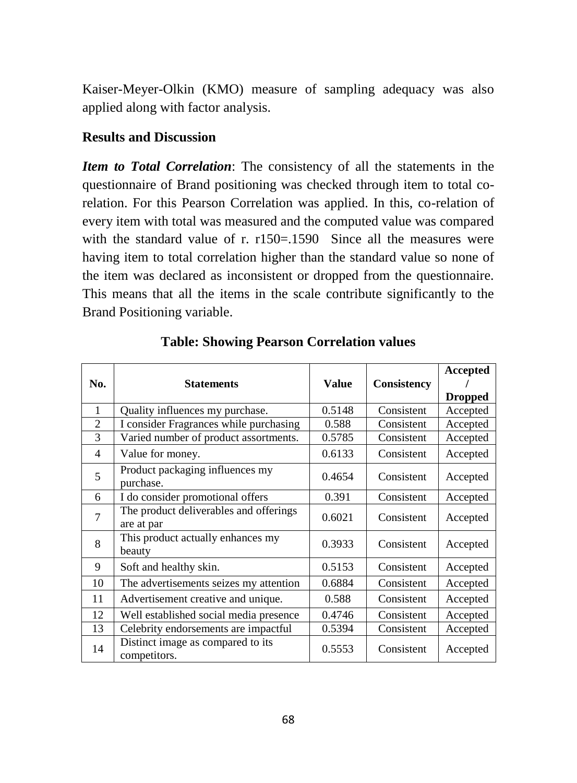Kaiser-Meyer-Olkin (KMO) measure of sampling adequacy was also applied along with factor analysis.

#### **Results and Discussion**

*Item to Total Correlation*: The consistency of all the statements in the questionnaire of Brand positioning was checked through item to total corelation. For this Pearson Correlation was applied. In this, co-relation of every item with total was measured and the computed value was compared with the standard value of r. r150=.1590 Since all the measures were having item to total correlation higher than the standard value so none of the item was declared as inconsistent or dropped from the questionnaire. This means that all the items in the scale contribute significantly to the Brand Positioning variable.

| No.            | <b>Statements</b>                                    | <b>Value</b> | <b>Consistency</b> | Accepted<br><b>Dropped</b> |
|----------------|------------------------------------------------------|--------------|--------------------|----------------------------|
| $\mathbf{1}$   | Quality influences my purchase.                      | 0.5148       | Consistent         | Accepted                   |
| $\overline{2}$ | I consider Fragrances while purchasing               | 0.588        | Consistent         | Accepted                   |
| 3              | Varied number of product assortments.                | 0.5785       | Consistent         | Accepted                   |
| 4              | Value for money.                                     | 0.6133       | Consistent         | Accepted                   |
| 5              | Product packaging influences my<br>purchase.         | 0.4654       | Consistent         | Accepted                   |
| 6              | I do consider promotional offers                     | 0.391        | Consistent         | Accepted                   |
| 7              | The product deliverables and offerings<br>are at par | 0.6021       | Consistent         | Accepted                   |
| 8              | This product actually enhances my<br>beauty          | 0.3933       | Consistent         | Accepted                   |
| 9              | Soft and healthy skin.                               | 0.5153       | Consistent         | Accepted                   |
| 10             | The advertisements seizes my attention               | 0.6884       | Consistent         | Accepted                   |
| 11             | Advertisement creative and unique.                   | 0.588        | Consistent         | Accepted                   |
| 12             | Well established social media presence               | 0.4746       | Consistent         | Accepted                   |
| 13             | Celebrity endorsements are impactful                 | 0.5394       | Consistent         | Accepted                   |
| 14             | Distinct image as compared to its<br>competitors.    | 0.5553       | Consistent         | Accepted                   |

|  |  |  | <b>Table: Showing Pearson Correlation values</b> |  |
|--|--|--|--------------------------------------------------|--|
|--|--|--|--------------------------------------------------|--|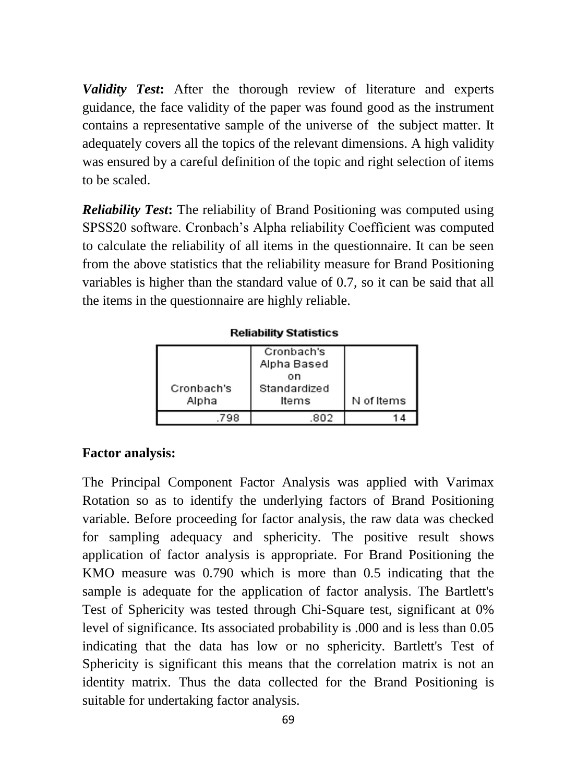*Validity Test***:** After the thorough review of literature and experts guidance, the face validity of the paper was found good as the instrument contains a representative sample of the universe of the subject matter. It adequately covers all the topics of the relevant dimensions. A high validity was ensured by a careful definition of the topic and right selection of items to be scaled.

*Reliability Test***:** The reliability of Brand Positioning was computed using SPSS20 software. Cronbach's Alpha reliability Coefficient was computed to calculate the reliability of all items in the questionnaire. It can be seen from the above statistics that the reliability measure for Brand Positioning variables is higher than the standard value of 0.7, so it can be said that all the items in the questionnaire are highly reliable.

**Reliability Statistics** 

| Cronbach's<br>Alpha | Cronbach's<br>Alpha Based<br>on<br>Standardized<br>Items | N of Items |
|---------------------|----------------------------------------------------------|------------|
| 798                 | 802                                                      | 14         |

#### **Factor analysis:**

The Principal Component Factor Analysis was applied with Varimax Rotation so as to identify the underlying factors of Brand Positioning variable. Before proceeding for factor analysis, the raw data was checked for sampling adequacy and sphericity. The positive result shows application of factor analysis is appropriate. For Brand Positioning the KMO measure was 0.790 which is more than 0.5 indicating that the sample is adequate for the application of factor analysis. The Bartlett's Test of Sphericity was tested through Chi-Square test, significant at 0% level of significance. Its associated probability is .000 and is less than 0.05 indicating that the data has low or no sphericity. Bartlett's Test of Sphericity is significant this means that the correlation matrix is not an identity matrix. Thus the data collected for the Brand Positioning is suitable for undertaking factor analysis.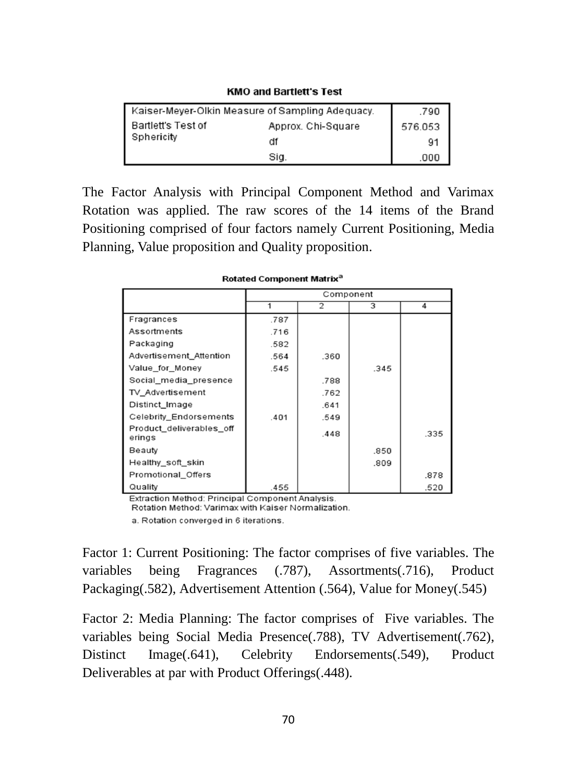| Kaiser-Meyer-Olkin Measure of Sampling Adequacy. | .790               |         |
|--------------------------------------------------|--------------------|---------|
| <b>Bartlett's Test of</b>                        | Approx. Chi-Square | 576.053 |
| Sphericity                                       | df                 | 91      |
|                                                  | Sig.               | .000    |

**KMO and Bartlett's Test** 

The Factor Analysis with Principal Component Method and Varimax Rotation was applied. The raw scores of the 14 items of the Brand Positioning comprised of four factors namely Current Positioning, Media Planning, Value proposition and Quality proposition.

|                                    | Component |      |      |      |
|------------------------------------|-----------|------|------|------|
|                                    |           | 2    | 3    | 4    |
| Fragrances                         | .787      |      |      |      |
| Assortments                        | .716      |      |      |      |
| Packaging                          | .582      |      |      |      |
| Advertisement_Attention            | .564      | .360 |      |      |
| Value_for_Money                    | .545      |      | .345 |      |
| Social_media_presence              |           | .788 |      |      |
| TV_Advertisement                   |           | .762 |      |      |
| Distinct Image                     |           | .641 |      |      |
| Celebrity_Endorsements             | .401      | .549 |      |      |
| Product_deliverables_off<br>erings |           | .448 |      | .335 |
| Beauty                             |           |      | .850 |      |
| Healthy soft skin                  |           |      | .809 |      |
| Promotional_Offers                 |           |      |      | .878 |
| Quality                            | .455      |      |      | .520 |

| Rotated Component Matrix® |  |
|---------------------------|--|
|---------------------------|--|

Extraction Method: Principal Component Analysis. Rotation Method: Varimax with Kaiser Normalization.

a. Rotation converged in 6 iterations.

Factor 1: Current Positioning: The factor comprises of five variables. The variables being Fragrances (.787), Assortments(.716), Product Packaging(.582), Advertisement Attention (.564), Value for Money(.545)

Factor 2: Media Planning: The factor comprises of Five variables. The variables being Social Media Presence(.788), TV Advertisement(.762), Distinct Image(.641), Celebrity Endorsements(.549), Product Deliverables at par with Product Offerings(.448).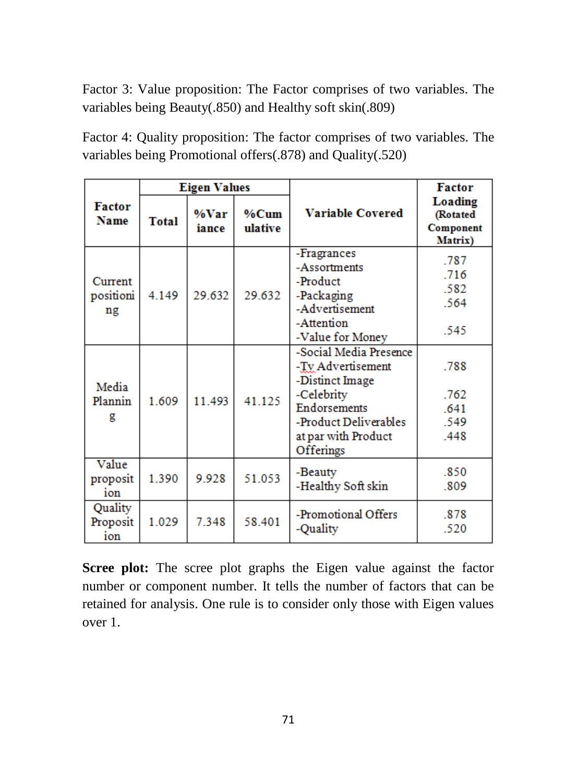Factor 3: Value proposition: The Factor comprises of two variables. The variables being Beauty(.850) and Healthy soft skin(.809)

Factor 4: Quality proposition: The factor comprises of two variables. The variables being Promotional offers(.878) and Quality(.520)

|                              | <b>Eigen Values</b> |               |                    |                                                                                                                                                           | <b>Factor</b>                                      |
|------------------------------|---------------------|---------------|--------------------|-----------------------------------------------------------------------------------------------------------------------------------------------------------|----------------------------------------------------|
| <b>Factor</b><br><b>Name</b> | <b>Total</b>        | %Var<br>iance | $%$ Cum<br>ulative | <b>Variable Covered</b>                                                                                                                                   | <b>Loading</b><br>(Rotated<br>Component<br>Matrix) |
| Current<br>positioni<br>ng   | 4.149               | 29.632        | 29.632             | -Fragrances<br>-Assortments<br>-Product<br>-Packaging<br>-Advertisement<br>-Attention<br>-Value for Money                                                 | .787<br>.716<br>.582<br>.564<br>.545               |
| Media<br>Plannin<br>g        | 1.609               | 11.493        | 41.125             | -Social Media Presence<br>-Ty Advertisement<br>-Distinct Image<br>-Celebrity<br>Endorsements<br>-Product Deliverables<br>at par with Product<br>Offerings | .788<br>.762<br>.641<br>.549<br>.448               |
| Value<br>proposit<br>ion     | 1.390               | 9.928         | 51.053             | -Beauty<br>-Healthy Soft skin                                                                                                                             | .850<br>.809                                       |
| Quality<br>Proposit<br>ion   | 1.029               | 7348          | 58.401             | -Promotional Offers<br>-Quality                                                                                                                           | .878<br>.520                                       |

**Scree plot:** The scree plot graphs the Eigen value against the factor number or component number. It tells the number of factors that can be retained for analysis. One rule is to consider only those with Eigen values over 1.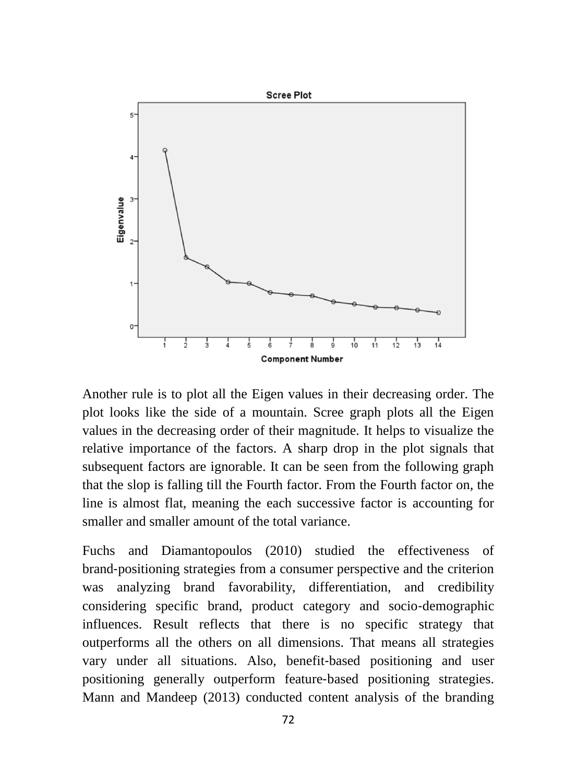

Another rule is to plot all the Eigen values in their decreasing order. The plot looks like the side of a mountain. Scree graph plots all the Eigen values in the decreasing order of their magnitude. It helps to visualize the relative importance of the factors. A sharp drop in the plot signals that subsequent factors are ignorable. It can be seen from the following graph that the slop is falling till the Fourth factor. From the Fourth factor on, the line is almost flat, meaning the each successive factor is accounting for smaller and smaller amount of the total variance.

Fuchs and Diamantopoulos (2010) studied the effectiveness of brand‐positioning strategies from a consumer perspective and the criterion was analyzing brand favorability, differentiation, and credibility considering specific brand, product category and socio‐demographic influences. Result reflects that there is no specific strategy that outperforms all the others on all dimensions. That means all strategies vary under all situations. Also, benefit‐based positioning and user positioning generally outperform feature‐based positioning strategies. Mann and Mandeep (2013) conducted content analysis of the branding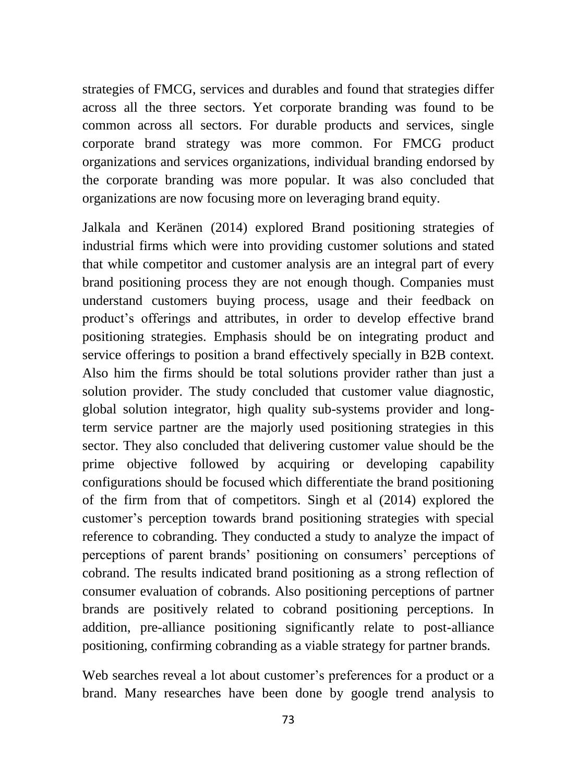strategies of FMCG, services and durables and found that strategies differ across all the three sectors. Yet corporate branding was found to be common across all sectors. For durable products and services, single corporate brand strategy was more common. For FMCG product organizations and services organizations, individual branding endorsed by the corporate branding was more popular. It was also concluded that organizations are now focusing more on leveraging brand equity.

Jalkala and Keränen (2014) explored Brand positioning strategies of industrial firms which were into providing customer solutions and stated that while competitor and customer analysis are an integral part of every brand positioning process they are not enough though. Companies must understand customers buying process, usage and their feedback on product's offerings and attributes, in order to develop effective brand positioning strategies. Emphasis should be on integrating product and service offerings to position a brand effectively specially in B2B context. Also him the firms should be total solutions provider rather than just a solution provider. The study concluded that customer value diagnostic, global solution integrator, high quality sub-systems provider and longterm service partner are the majorly used positioning strategies in this sector. They also concluded that delivering customer value should be the prime objective followed by acquiring or developing capability configurations should be focused which differentiate the brand positioning of the firm from that of competitors. Singh et al (2014) explored the customer's perception towards brand positioning strategies with special reference to cobranding. They conducted a study to analyze the impact of perceptions of parent brands' positioning on consumers' perceptions of cobrand. The results indicated brand positioning as a strong reflection of consumer evaluation of cobrands. Also positioning perceptions of partner brands are positively related to cobrand positioning perceptions. In addition, pre-alliance positioning significantly relate to post-alliance positioning, confirming cobranding as a viable strategy for partner brands.

Web searches reveal a lot about customer's preferences for a product or a brand. Many researches have been done by google trend analysis to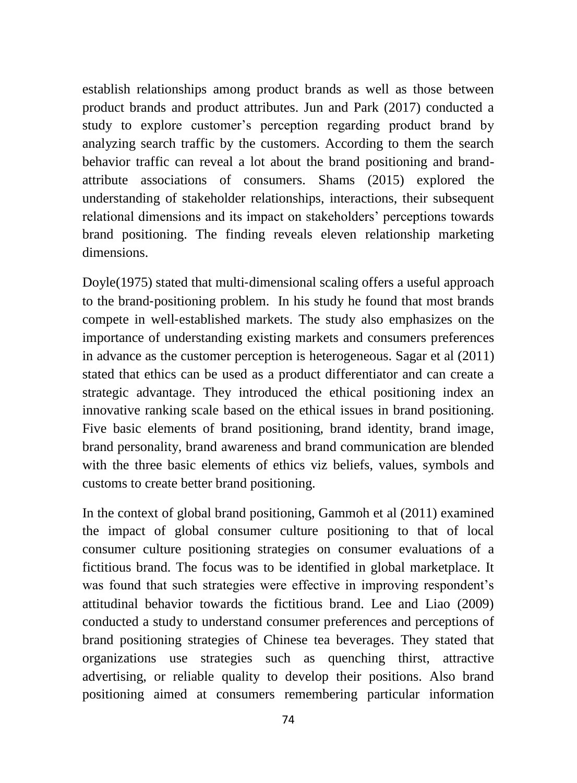establish relationships among product brands as well as those between product brands and product attributes. Jun and Park (2017) conducted a study to explore customer's perception regarding product brand by analyzing search traffic by the customers. According to them the search behavior traffic can reveal a lot about the brand positioning and brandattribute associations of consumers. Shams (2015) explored the understanding of stakeholder relationships, interactions, their subsequent relational dimensions and its impact on stakeholders' perceptions towards brand positioning. The finding reveals eleven relationship marketing dimensions.

Doyle(1975) stated that multi-dimensional scaling offers a useful approach to the brand‐positioning problem. In his study he found that most brands compete in well‐established markets. The study also emphasizes on the importance of understanding existing markets and consumers preferences in advance as the customer perception is heterogeneous. Sagar et al (2011) stated that ethics can be used as a product differentiator and can create a strategic advantage. They introduced the ethical positioning index an innovative ranking scale based on the ethical issues in brand positioning. Five basic elements of brand positioning, brand identity, brand image, brand personality, brand awareness and brand communication are blended with the three basic elements of ethics viz beliefs, values, symbols and customs to create better brand positioning.

In the context of global brand positioning, Gammoh et al (2011) examined the impact of global consumer culture positioning to that of local consumer culture positioning strategies on consumer evaluations of a fictitious brand. The focus was to be identified in global marketplace. It was found that such strategies were effective in improving respondent's attitudinal behavior towards the fictitious brand. Lee and Liao (2009) conducted a study to understand consumer preferences and perceptions of brand positioning strategies of Chinese tea beverages. They stated that organizations use strategies such as quenching thirst, attractive advertising, or reliable quality to develop their positions. Also brand positioning aimed at consumers remembering particular information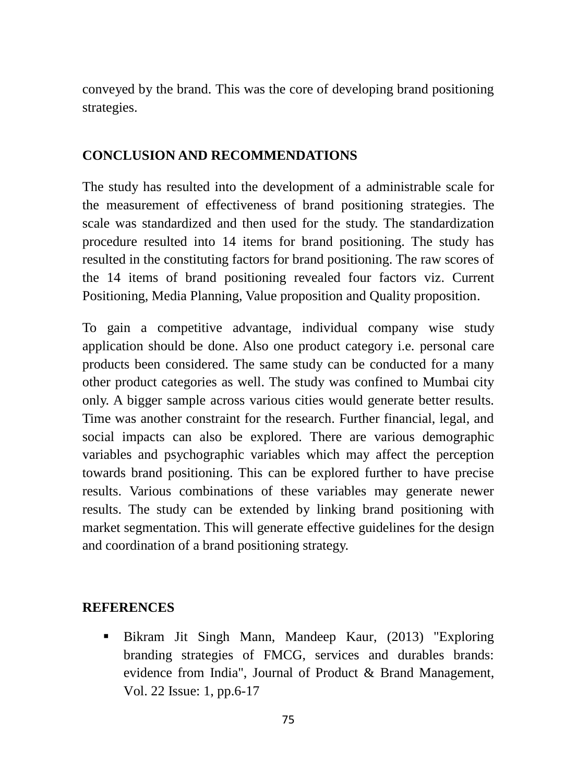conveyed by the brand. This was the core of developing brand positioning strategies.

#### **CONCLUSION AND RECOMMENDATIONS**

The study has resulted into the development of a administrable scale for the measurement of effectiveness of brand positioning strategies. The scale was standardized and then used for the study. The standardization procedure resulted into 14 items for brand positioning. The study has resulted in the constituting factors for brand positioning. The raw scores of the 14 items of brand positioning revealed four factors viz. Current Positioning, Media Planning, Value proposition and Quality proposition.

To gain a competitive advantage, individual company wise study application should be done. Also one product category i.e. personal care products been considered. The same study can be conducted for a many other product categories as well. The study was confined to Mumbai city only. A bigger sample across various cities would generate better results. Time was another constraint for the research. Further financial, legal, and social impacts can also be explored. There are various demographic variables and psychographic variables which may affect the perception towards brand positioning. This can be explored further to have precise results. Various combinations of these variables may generate newer results. The study can be extended by linking brand positioning with market segmentation. This will generate effective guidelines for the design and coordination of a brand positioning strategy.

#### **REFERENCES**

 Bikram Jit Singh Mann, Mandeep Kaur, (2013) "Exploring branding strategies of FMCG, services and durables brands: evidence from India", Journal of Product & Brand Management, Vol. 22 Issue: 1, pp.6-17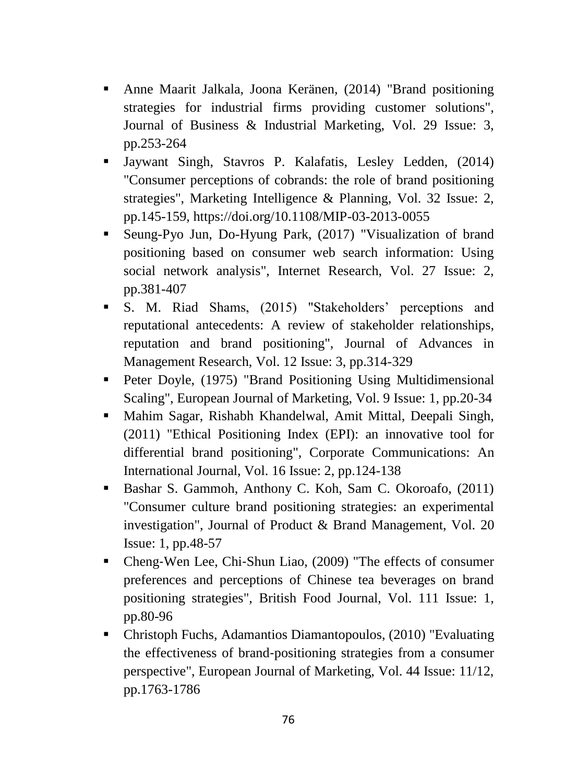- Anne Maarit Jalkala, Joona Keränen, (2014) "Brand positioning strategies for industrial firms providing customer solutions", Journal of Business & Industrial Marketing, Vol. 29 Issue: 3, pp.253-264
- Jaywant Singh, Stavros P. Kalafatis, Lesley Ledden, (2014) "Consumer perceptions of cobrands: the role of brand positioning strategies", Marketing Intelligence & Planning, Vol. 32 Issue: 2, pp.145-159, https://doi.org/10.1108/MIP-03-2013-0055
- Seung-Pyo Jun, Do-Hyung Park, (2017) "Visualization of brand positioning based on consumer web search information: Using social network analysis", Internet Research, Vol. 27 Issue: 2, pp.381-407
- S. M. Riad Shams, (2015) "Stakeholders' perceptions and reputational antecedents: A review of stakeholder relationships, reputation and brand positioning", Journal of Advances in Management Research, Vol. 12 Issue: 3, pp.314-329
- Peter Doyle, (1975) "Brand Positioning Using Multidimensional Scaling", European Journal of Marketing, Vol. 9 Issue: 1, pp.20-34
- Mahim Sagar, Rishabh Khandelwal, Amit Mittal, Deepali Singh, (2011) "Ethical Positioning Index (EPI): an innovative tool for differential brand positioning", Corporate Communications: An International Journal, Vol. 16 Issue: 2, pp.124-138
- Bashar S. Gammoh, Anthony C. Koh, Sam C. Okoroafo, (2011) "Consumer culture brand positioning strategies: an experimental investigation", Journal of Product & Brand Management, Vol. 20 Issue: 1, pp.48-57
- Cheng-Wen Lee, Chi-Shun Liao, (2009) "The effects of consumer preferences and perceptions of Chinese tea beverages on brand positioning strategies", British Food Journal, Vol. 111 Issue: 1, pp.80-96
- Christoph Fuchs, Adamantios Diamantopoulos, (2010) "Evaluating the effectiveness of brand‐positioning strategies from a consumer perspective", European Journal of Marketing, Vol. 44 Issue: 11/12, pp.1763-1786